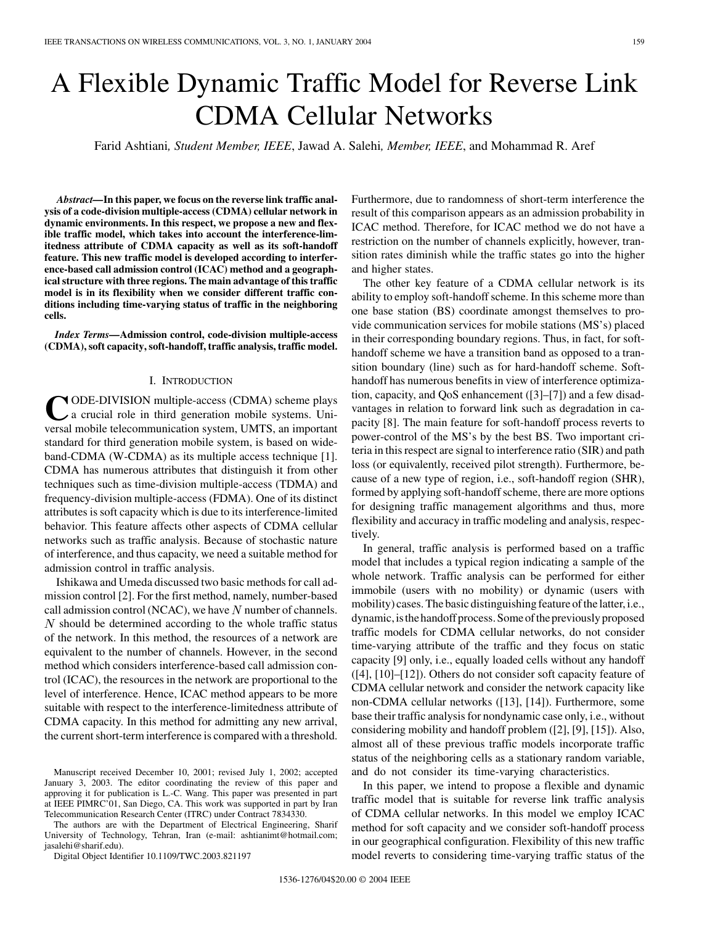# A Flexible Dynamic Traffic Model for Reverse Link CDMA Cellular Networks

Farid Ashtiani*, Student Member, IEEE*, Jawad A. Salehi*, Member, IEEE*, and Mohammad R. Aref

*Abstract—***In this paper, we focus on the reverse link traffic analysis of a code-division multiple-access (CDMA) cellular network in dynamic environments. In this respect, we propose a new and flexible traffic model, which takes into account the interference-limitedness attribute of CDMA capacity as well as its soft-handoff feature. This new traffic model is developed according to interference-based call admission control (ICAC) method and a geographical structure with three regions. The main advantage of this traffic model is in its flexibility when we consider different traffic conditions including time-varying status of traffic in the neighboring cells.**

*Index Terms—***Admission control, code-division multiple-access (CDMA), soft capacity, soft-handoff, traffic analysis, traffic model.**

#### I. INTRODUCTION

**Y** ODE-DIVISION multiple-access (CDMA) scheme plays a crucial role in third generation mobile systems. Universal mobile telecommunication system, UMTS, an important standard for third generation mobile system, is based on wideband-CDMA (W-CDMA) as its multiple access technique [\[1](#page-5-0)]. CDMA has numerous attributes that distinguish it from other techniques such as time-division multiple-access (TDMA) and frequency-division multiple-access (FDMA). One of its distinct attributes is soft capacity which is due to its interference-limited behavior. This feature affects other aspects of CDMA cellular networks such as traffic analysis. Because of stochastic nature of interference, and thus capacity, we need a suitable method for admission control in traffic analysis.

Ishikawa and Umeda discussed two basic methods for call admission control [[2\]](#page-5-0). For the first method, namely, number-based call admission control (NCAC), we have  $N$  number of channels.  $N$  should be determined according to the whole traffic status of the network. In this method, the resources of a network are equivalent to the number of channels. However, in the second method which considers interference-based call admission control (ICAC), the resources in the network are proportional to the level of interference. Hence, ICAC method appears to be more suitable with respect to the interference-limitedness attribute of CDMA capacity. In this method for admitting any new arrival, the current short-term interference is compared with a threshold.

The authors are with the Department of Electrical Engineering, Sharif University of Technology, Tehran, Iran (e-mail: ashtianimt@hotmail.com; jasalehi@sharif.edu).

Digital Object Identifier 10.1109/TWC.2003.821197

Furthermore, due to randomness of short-term interference the result of this comparison appears as an admission probability in ICAC method. Therefore, for ICAC method we do not have a restriction on the number of channels explicitly, however, transition rates diminish while the traffic states go into the higher and higher states.

The other key feature of a CDMA cellular network is its ability to employ soft-handoff scheme. In this scheme more than one base station (BS) coordinate amongst themselves to provide communication services for mobile stations (MS's) placed in their corresponding boundary regions. Thus, in fact, for softhandoff scheme we have a transition band as opposed to a transition boundary (line) such as for hard-handoff scheme. Softhandoff has numerous benefits in view of interference optimization, capacity, and QoS enhancement ([[3\]](#page-5-0)–[[7\]](#page-5-0)) and a few disadvantages in relation to forward link such as degradation in capacity [[8](#page-5-0)]. The main feature for soft-handoff process reverts to power-control of the MS's by the best BS. Two important criteria in this respect are signal to interference ratio (SIR) and path loss (or equivalently, received pilot strength). Furthermore, because of a new type of region, i.e., soft-handoff region (SHR), formed by applying soft-handoff scheme, there are more options for designing traffic management algorithms and thus, more flexibility and accuracy in traffic modeling and analysis, respectively.

In general, traffic analysis is performed based on a traffic model that includes a typical region indicating a sample of the whole network. Traffic analysis can be performed for either immobile (users with no mobility) or dynamic (users with mobility) cases. The basic distinguishing feature of the latter, i.e., dynamic, is the handoff process. Some of the previously proposed traffic models for CDMA cellular networks, do not consider time-varying attribute of the traffic and they focus on static capacity [\[9](#page-5-0)] only, i.e., equally loaded cells without any handoff ([[4\]](#page-5-0), [\[10](#page-5-0)]–[[12\]](#page-5-0)). Others do not consider soft capacity feature of CDMA cellular network and consider the network capacity like non-CDMA cellular networks ([\[13](#page-5-0)], [[14\]](#page-5-0)). Furthermore, some base their traffic analysis for nondynamic case only, i.e., without considering mobility and handoff problem ([\[2](#page-5-0)], [\[9](#page-5-0)], [[15\]](#page-5-0)). Also, almost all of these previous traffic models incorporate traffic status of the neighboring cells as a stationary random variable, and do not consider its time-varying characteristics.

In this paper, we intend to propose a flexible and dynamic traffic model that is suitable for reverse link traffic analysis of CDMA cellular networks. In this model we employ ICAC method for soft capacity and we consider soft-handoff process in our geographical configuration. Flexibility of this new traffic model reverts to considering time-varying traffic status of the

Manuscript received December 10, 2001; revised July 1, 2002; accepted January 3, 2003. The editor coordinating the review of this paper and approving it for publication is L.-C. Wang. This paper was presented in part at IEEE PIMRC'01, San Diego, CA. This work was supported in part by Iran Telecommunication Research Center (ITRC) under Contract 7834330.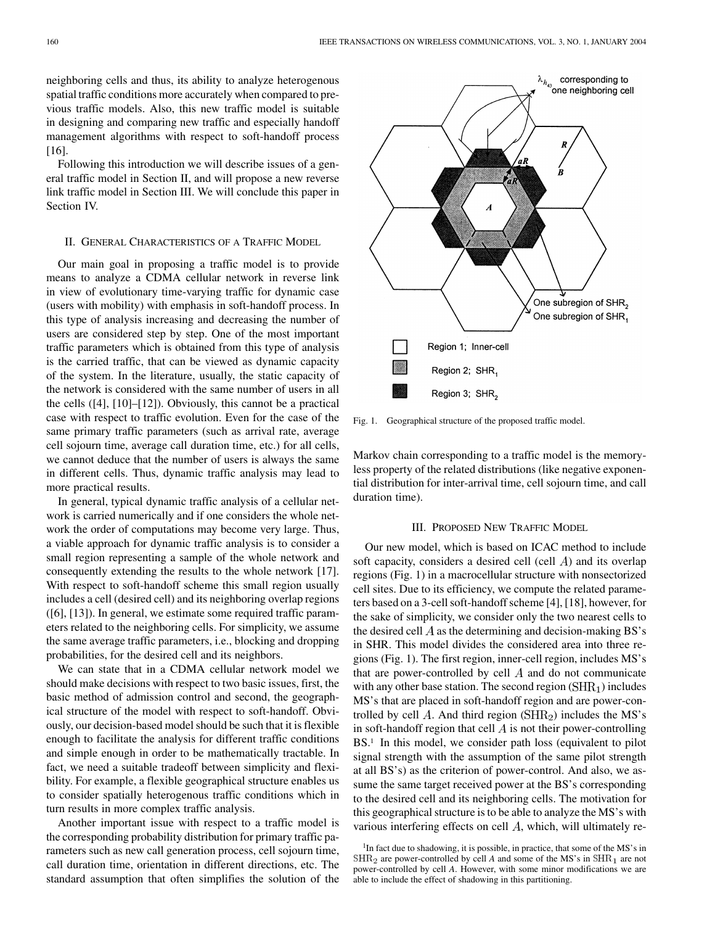neighboring cells and thus, its ability to analyze heterogenous spatial traffic conditions more accurately when compared to previous traffic models. Also, this new traffic model is suitable in designing and comparing new traffic and especially handoff management algorithms with respect to soft-handoff process [[16\]](#page-5-0).

Following this introduction we will describe issues of a general traffic model in Section II, and will propose a new reverse link traffic model in Section III. We will conclude this paper in Section IV.

### II. GENERAL CHARACTERISTICS OF A TRAFFIC MODEL

Our main goal in proposing a traffic model is to provide means to analyze a CDMA cellular network in reverse link in view of evolutionary time-varying traffic for dynamic case (users with mobility) with emphasis in soft-handoff process. In this type of analysis increasing and decreasing the number of users are considered step by step. One of the most important traffic parameters which is obtained from this type of analysis is the carried traffic, that can be viewed as dynamic capacity of the system. In the literature, usually, the static capacity of the network is considered with the same number of users in all the cells ([[4\]](#page-5-0), [[10\]](#page-5-0)–[\[12](#page-5-0)]). Obviously, this cannot be a practical case with respect to traffic evolution. Even for the case of the same primary traffic parameters (such as arrival rate, average cell sojourn time, average call duration time, etc.) for all cells, we cannot deduce that the number of users is always the same in different cells. Thus, dynamic traffic analysis may lead to more practical results.

In general, typical dynamic traffic analysis of a cellular network is carried numerically and if one considers the whole network the order of computations may become very large. Thus, a viable approach for dynamic traffic analysis is to consider a small region representing a sample of the whole network and consequently extending the results to the whole network [[17\]](#page-5-0). With respect to soft-handoff scheme this small region usually includes a cell (desired cell) and its neighboring overlap regions ([\[6](#page-5-0)], [[13\]](#page-5-0)). In general, we estimate some required traffic parameters related to the neighboring cells. For simplicity, we assume the same average traffic parameters, i.e., blocking and dropping probabilities, for the desired cell and its neighbors.

We can state that in a CDMA cellular network model we should make decisions with respect to two basic issues, first, the basic method of admission control and second, the geographical structure of the model with respect to soft-handoff. Obviously, our decision-based model should be such that it is flexible enough to facilitate the analysis for different traffic conditions and simple enough in order to be mathematically tractable. In fact, we need a suitable tradeoff between simplicity and flexibility. For example, a flexible geographical structure enables us to consider spatially heterogenous traffic conditions which in turn results in more complex traffic analysis.

Another important issue with respect to a traffic model is the corresponding probability distribution for primary traffic parameters such as new call generation process, cell sojourn time, call duration time, orientation in different directions, etc. The standard assumption that often simplifies the solution of the



Fig. 1. Geographical structure of the proposed traffic model.

Markov chain corresponding to a traffic model is the memoryless property of the related distributions (like negative exponential distribution for inter-arrival time, cell sojourn time, and call duration time).

# III. PROPOSED NEW TRAFFIC MODEL

Our new model, which is based on ICAC method to include soft capacity, considers a desired cell (cell  $\overline{A}$ ) and its overlap regions (Fig. 1) in a macrocellular structure with nonsectorized cell sites. Due to its efficiency, we compute the related parameters based on a 3-cell soft-handoff scheme [\[4](#page-5-0)], [\[18\]](#page-5-0), however, for the sake of simplicity, we consider only the two nearest cells to the desired cell  $\vec{A}$  as the determining and decision-making BS's in SHR. This model divides the considered area into three regions (Fig. 1). The first region, inner-cell region, includes MS's that are power-controlled by cell  $A$  and do not communicate with any other base station. The second region  $(SHR<sub>1</sub>)$  includes MS's that are placed in soft-handoff region and are power-controlled by cell A. And third region  $(SHR_2)$  includes the MS's in soft-handoff region that cell  $\vec{A}$  is not their power-controlling BS.<sup>1</sup> In this model, we consider path loss (equivalent to pilot signal strength with the assumption of the same pilot strength at all BS's) as the criterion of power-control. And also, we assume the same target received power at the BS's corresponding to the desired cell and its neighboring cells. The motivation for this geographical structure is to be able to analyze the MS's with various interfering effects on cell  $A$ , which, will ultimately re-

<sup>&</sup>lt;sup>1</sup>In fact due to shadowing, it is possible, in practice, that some of the MS's in  $\text{SHR}_2$  are power-controlled by cell *A* and some of the MS's in  $\text{SHR}_1$  are not power-controlled by cell *A*. However, with some minor modifications we are able to include the effect of shadowing in this partitioning.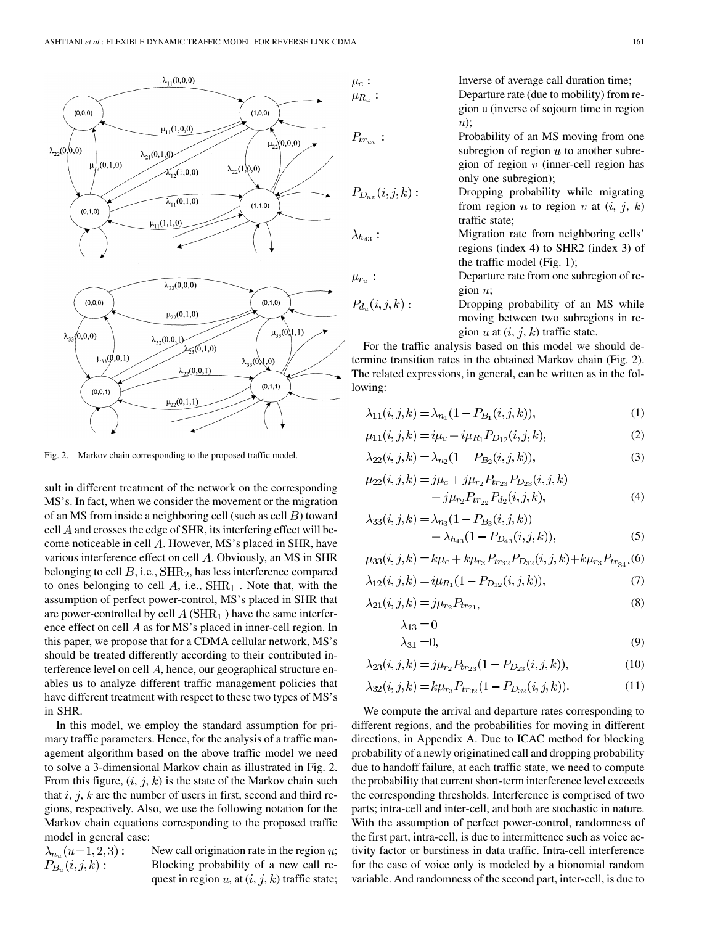

Fig. 2. Markov chain corresponding to the proposed traffic model.

sult in different treatment of the network on the corresponding MS's. In fact, when we consider the movement or the migration of an MS from inside a neighboring cell (such as cell  $B$ ) toward cell  $\vec{A}$  and crosses the edge of SHR, its interfering effect will become noticeable in cell  $A$ . However, MS's placed in SHR, have various interference effect on cell  $A$ . Obviously, an MS in SHR belonging to cell  $B$ , i.e.,  $\text{SHR}_2$ , has less interference compared to ones belonging to cell  $A$ , i.e.,  $\text{SHR}_1$ . Note that, with the assumption of perfect power-control, MS's placed in SHR that are power-controlled by cell  $A(SHR<sub>1</sub>)$  have the same interference effect on cell  $A$  as for MS's placed in inner-cell region. In this paper, we propose that for a CDMA cellular network, MS's should be treated differently according to their contributed interference level on cell  $A$ , hence, our geographical structure enables us to analyze different traffic management policies that have different treatment with respect to these two types of MS's in SHR.

In this model, we employ the standard assumption for primary traffic parameters. Hence, for the analysis of a traffic management algorithm based on the above traffic model we need to solve a 3-dimensional Markov chain as illustrated in Fig. 2. From this figure,  $(i, j, k)$  is the state of the Markov chain such that  $i, j, k$  are the number of users in first, second and third regions, respectively. Also, we use the following notation for the Markov chain equations corresponding to the proposed traffic model in general case:

 $\lambda_{n_u}(u=1,2,3)$ :  $P_{B_u}(i,j,k)$ :

New call origination rate in the region  $u$ ; Blocking probability of a new call request in region  $u$ , at  $(i, j, k)$  traffic state; Inverse of average call duration time;

Departure rate (due to mobility) from region u (inverse of sojourn time in region  $u)$ ;

Probability of an MS moving from one subregion of region  $u$  to another subregion of region  $v$  (inner-cell region has only one subregion);

Dropping probability while migrating from region u to region v at  $(i, j, k)$ traffic state;

Migration rate from neighboring cells' regions (index 4) to SHR2 (index 3) of the traffic model (Fig. 1);

Departure rate from one subregion of region  $u$ ;

Dropping probability of an MS while moving between two subregions in region u at  $(i, j, k)$  traffic state.

For the traffic analysis based on this model we should determine transition rates in the obtained Markov chain (Fig. 2). The related expressions, in general, can be written as in the following:

$$
\lambda_{11}(i,j,k) = \lambda_{n_1}(1 - P_{B_1}(i,j,k)),\tag{1}
$$

$$
\mu_{11}(i,j,k) = i\mu_c + i\mu_{R_1} P_{D_{12}}(i,j,k),\tag{2}
$$

$$
\lambda_{22}(i,j,k) = \lambda_{n_2}(1 - P_{B_2}(i,j,k)),\tag{3}
$$

$$
\mu_{22}(i,j,k) = j\mu_c + j\mu_{r_2} P_{tr_{23}} P_{D_{23}}(i,j,k) + j\mu_{r_2} P_{tr_{23}} P_{d_2}(i,j,k),
$$
\n(4)

$$
\lambda_{33}(i,j,k) = \lambda_{n_3} (1 - P_{B_3}(i,j,k)) + \lambda_{h_{43}} (1 - P_{D_{43}}(i,j,k)),
$$
\n(5)

$$
\mu_{33}(i,j,k) = k\mu_c + k\mu_{r_3} P_{tr_{32}} P_{D_{32}}(i,j,k) + k\mu_{r_3} P_{tr_{34}},
$$
 (6)

$$
\lambda_{12}(i,j,k) = i\mu_{R_1}(1 - P_{D_{12}}(i,j,k)),\tag{7}
$$

$$
\lambda_{21}(i,j,k) = j\mu_{r_2} P_{tr_{21}},\tag{8}
$$

$$
\lambda_{13} = 0
$$
  
\n
$$
\lambda_{31} = 0,
$$
\n(9)

$$
\lambda_{31} = 0,\tag{9}
$$

$$
\lambda_{23}(i,j,k) = j\mu_{r_2} P_{tr_{23}}(1 - P_{D_{23}}(i,j,k)),\tag{10}
$$

$$
\lambda_{32}(i,j,k) = k\mu_{r_3} P_{tr_{32}}(1 - P_{D_{32}}(i,j,k)). \tag{11}
$$

We compute the arrival and departure rates corresponding to different regions, and the probabilities for moving in different directions, in Appendix A. Due to ICAC method for blocking probability of a newly originatined call and dropping probability due to handoff failure, at each traffic state, we need to compute the probability that current short-term interference level exceeds the corresponding thresholds. Interference is comprised of two parts; intra-cell and inter-cell, and both are stochastic in nature. With the assumption of perfect power-control, randomness of the first part, intra-cell, is due to intermittence such as voice activity factor or burstiness in data traffic. Intra-cell interference for the case of voice only is modeled by a bionomial random variable. And randomness of the second part, inter-cell, is due to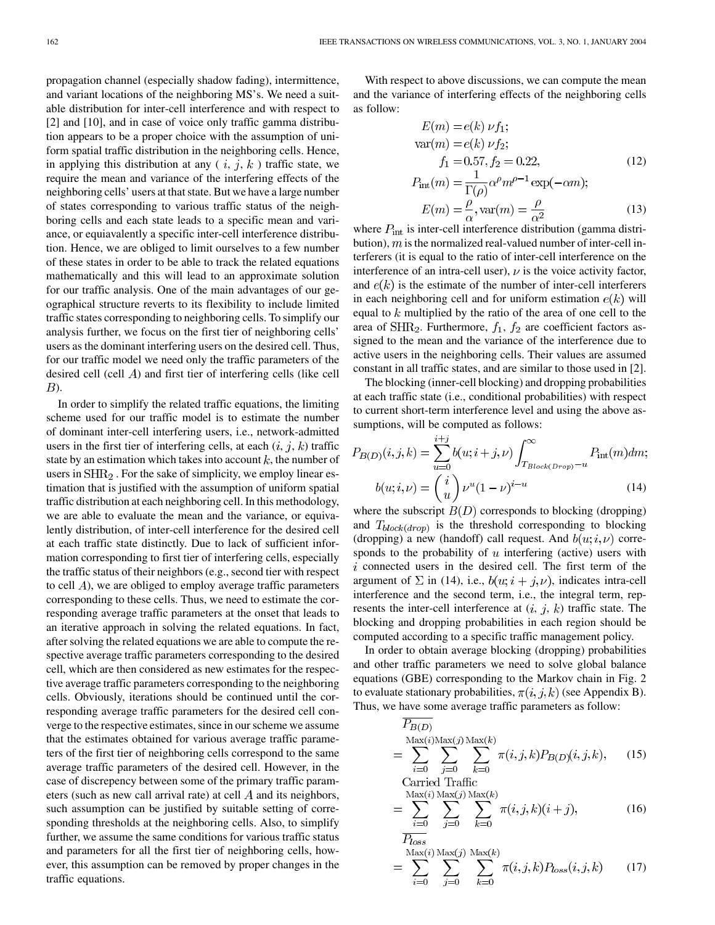propagation channel (especially shadow fading), intermittence, and variant locations of the neighboring MS's. We need a suitable distribution for inter-cell interference and with respect to [[2\]](#page-5-0) and [[10\]](#page-5-0), and in case of voice only traffic gamma distribution appears to be a proper choice with the assumption of uniform spatial traffic distribution in the neighboring cells. Hence, in applying this distribution at any  $(i, j, k)$  traffic state, we require the mean and variance of the interfering effects of the neighboring cells' users at that state. But we have a large number of states corresponding to various traffic status of the neighboring cells and each state leads to a specific mean and variance, or equiavalently a specific inter-cell interference distribution. Hence, we are obliged to limit ourselves to a few number of these states in order to be able to track the related equations mathematically and this will lead to an approximate solution for our traffic analysis. One of the main advantages of our geographical structure reverts to its flexibility to include limited traffic states corresponding to neighboring cells. To simplify our analysis further, we focus on the first tier of neighboring cells' users as the dominant interfering users on the desired cell. Thus, for our traffic model we need only the traffic parameters of the desired cell (cell  $\vec{A}$ ) and first tier of interfering cells (like cell  $B$ ).

In order to simplify the related traffic equations, the limiting scheme used for our traffic model is to estimate the number of dominant inter-cell interfering users, i.e., network-admitted users in the first tier of interfering cells, at each  $(i, j, k)$  traffic state by an estimation which takes into account  $k$ , the number of users in  $\text{SHR}_2$ . For the sake of simplicity, we employ linear estimation that is justified with the assumption of uniform spatial traffic distribution at each neighboring cell. In this methodology, we are able to evaluate the mean and the variance, or equivalently distribution, of inter-cell interference for the desired cell at each traffic state distinctly. Due to lack of sufficient information corresponding to first tier of interfering cells, especially the traffic status of their neighbors (e.g., second tier with respect to cell  $\vec{A}$ ), we are obliged to employ average traffic parameters corresponding to these cells. Thus, we need to estimate the corresponding average traffic parameters at the onset that leads to an iterative approach in solving the related equations. In fact, after solving the related equations we are able to compute the respective average traffic parameters corresponding to the desired cell, which are then considered as new estimates for the respective average traffic parameters corresponding to the neighboring cells. Obviously, iterations should be continued until the corresponding average traffic parameters for the desired cell converge to the respective estimates, since in our scheme we assume that the estimates obtained for various average traffic parameters of the first tier of neighboring cells correspond to the same average traffic parameters of the desired cell. However, in the case of discrepency between some of the primary traffic parameters (such as new call arrival rate) at cell  $A$  and its neighbors, such assumption can be justified by suitable setting of corresponding thresholds at the neighboring cells. Also, to simplify further, we assume the same conditions for various traffic status and parameters for all the first tier of neighboring cells, however, this assumption can be removed by proper changes in the traffic equations.

With respect to above discussions, we can compute the mean and the variance of interfering effects of the neighboring cells as follow:

$$
E(m) = e(k) \nu f_1;
$$
  
\n
$$
var(m) = e(k) \nu f_2;
$$
  
\n
$$
f_1 = 0.57, f_2 = 0.22,
$$
  
\n
$$
P_{int}(m) = \frac{1}{\Gamma(\rho)} \alpha^{\rho} m^{\rho - 1} \exp(-\alpha m);
$$
  
\n
$$
E(\rho) = \frac{\rho}{\rho} \exp(-\alpha m),
$$
\n(12)

$$
E(m) = \frac{\rho}{\alpha}, \text{var}(m) = \frac{\rho}{\alpha^2}
$$
(13)

where  $P_{\text{int}}$  is inter-cell interference distribution (gamma distribution),  $m$  is the normalized real-valued number of inter-cell interferers (it is equal to the ratio of inter-cell interference on the interference of an intra-cell user),  $\nu$  is the voice activity factor, and  $e(k)$  is the estimate of the number of inter-cell interferers in each neighboring cell and for uniform estimation  $e(k)$  will equal to  $k$  multiplied by the ratio of the area of one cell to the area of  $\text{SHR}_2$ . Furthermore,  $f_1$ ,  $f_2$  are coefficient factors assigned to the mean and the variance of the interference due to active users in the neighboring cells. Their values are assumed constant in all traffic states, and are similar to those used in [[2\]](#page-5-0).

The blocking (inner-cell blocking) and dropping probabilities at each traffic state (i.e., conditional probabilities) with respect to current short-term interference level and using the above assumptions, will be computed as follows:

$$
P_{B(D)}(i,j,k) = \sum_{u=0}^{i+j} b(u;i+j,\nu) \int_{T_{Block(Drop)}-u}^{\infty} P_{int}(m)dm;
$$
  

$$
b(u;i,\nu) = {i \choose u} \nu^{u} (1-\nu)^{i-u}
$$
 (14)

where the subscript  $B(D)$  corresponds to blocking (dropping) and  $T_{block(drop)}$  is the threshold corresponding to blocking (dropping) a new (handoff) call request. And  $b(u; i, \nu)$  corresponds to the probability of  $u$  interfering (active) users with  $i$  connected users in the desired cell. The first term of the argument of  $\Sigma$  in (14), i.e.,  $b(u; i + j, \nu)$ , indicates intra-cell interference and the second term, i.e., the integral term, represents the inter-cell interference at  $(i, j, k)$  traffic state. The blocking and dropping probabilities in each region should be computed according to a specific traffic management policy.

In order to obtain average blocking (dropping) probabilities and other traffic parameters we need to solve global balance equations (GBE) corresponding to the Markov chain in Fig. 2 to evaluate stationary probabilities,  $\pi(i, j, k)$  (see Appendix B). Thus, we have some average traffic parameters as follow:

$$
P_{B(D)}\n= \sum_{i=0}^{\text{Max}(i)\text{Max}(j)} \sum_{j=0}^{\text{Max}(i)} \sum_{k=0}^{\text{Max}(k)} \pi(i,j,k) P_{B(D)}(i,j,k), \quad (15)
$$

Carried Traffic  
\n
$$
= \sum_{i=0}^{\text{Max}(i)} \sum_{j=0}^{\text{Max}(j)} \sum_{k=0}^{\text{Max}(k)} \pi(i, j, k)(i + j),
$$
\n(16)

$$
P_{loss}
$$
  
= 
$$
\sum_{i=0}^{\text{Max}(i)} \sum_{j=0}^{\text{Max}(j)} \sum_{k=0}^{\text{Max}(k)} \pi(i,j,k) P_{loss}(i,j,k)
$$
 (17)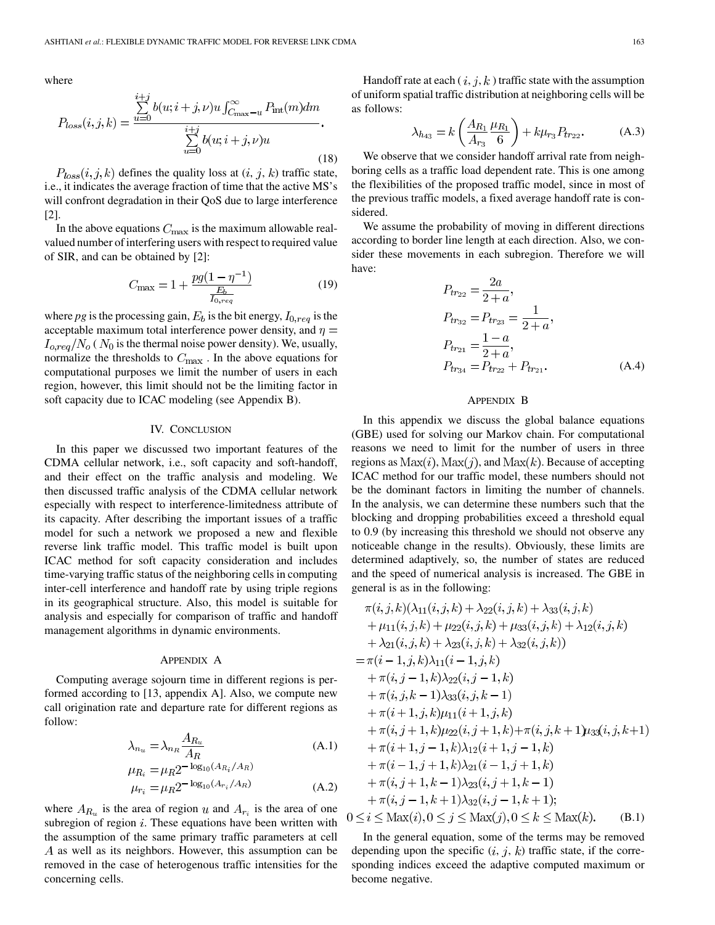where

$$
P_{loss}(i,j,k) = \frac{\sum_{u=0}^{i+j} b(u;i+j,\nu)u \int_{C_{\text{max}}-u}^{\infty} P_{\text{int}}(m)dm}{\sum_{u=0}^{i+j} b(u;i+j,\nu)u}.
$$
\n(18)

 $P_{loss}(i, j, k)$  defines the quality loss at  $(i, j, k)$  traffic state, i.e., it indicates the average fraction of time that the active MS's will confront degradation in their QoS due to large interference [\[2](#page-5-0)].

In the above equations  $C_{\text{max}}$  is the maximum allowable realvalued number of interfering users with respect to required value of SIR, and can be obtained by [[2\]](#page-5-0):

$$
C_{\text{max}} = 1 + \frac{pg(1 - \eta^{-1})}{\frac{E_b}{I_{0,req}}}
$$
(19)

where *pg* is the processing gain,  $E_b$  is the bit energy,  $I_{0,req}$  is the acceptable maximum total interference power density, and  $\eta =$  $I_{o,req}/N_o$  ( $N_0$  is the thermal noise power density). We, usually, normalize the thresholds to  $C_{\text{max}}$ . In the above equations for computational purposes we limit the number of users in each region, however, this limit should not be the limiting factor in soft capacity due to ICAC modeling (see Appendix B).

# IV. CONCLUSION

In this paper we discussed two important features of the CDMA cellular network, i.e., soft capacity and soft-handoff, and their effect on the traffic analysis and modeling. We then discussed traffic analysis of the CDMA cellular network especially with respect to interference-limitedness attribute of its capacity. After describing the important issues of a traffic model for such a network we proposed a new and flexible reverse link traffic model. This traffic model is built upon ICAC method for soft capacity consideration and includes time-varying traffic status of the neighboring cells in computing inter-cell interference and handoff rate by using triple regions in its geographical structure. Also, this model is suitable for analysis and especially for comparison of traffic and handoff management algorithms in dynamic environments.

## APPENDIX A

Computing average sojourn time in different regions is performed according to [\[13,](#page-5-0) appendix A]. Also, we compute new call origination rate and departure rate for different regions as follow:

$$
\lambda_{n_u} = \lambda_{n_R} \frac{A_{R_u}}{A_R}
$$
\n
$$
\mu_{\text{D}} = \mu_{\text{D}} 2^{-\log_{10}(A_{R_i}/A_R)}
$$
\n(A.1)

$$
\mu_{R_i} = \mu_R^2
$$
  
\n
$$
\mu_{r_i} = \mu_R^2 - \log_{10}(A_{r_i}/A_R)
$$
 (A.2)

where  $A_{R_u}$  is the area of region u and  $A_{r_i}$  is the area of one subregion of region  $i$ . These equations have been written with the assumption of the same primary traffic parameters at cell A as well as its neighbors. However, this assumption can be removed in the case of heterogenous traffic intensities for the concerning cells.

Handoff rate at each  $(i, j, k)$  traffic state with the assumption of uniform spatial traffic distribution at neighboring cells will be as follows:

$$
\lambda_{h_{43}} = k \left( \frac{A_{R_1}}{A_{r_3}} \frac{\mu_{R_1}}{6} \right) + k \mu_{r_3} P_{tr_{22}}.
$$
 (A.3)

We observe that we consider handoff arrival rate from neighboring cells as a traffic load dependent rate. This is one among the flexibilities of the proposed traffic model, since in most of the previous traffic models, a fixed average handoff rate is considered.

We assume the probability of moving in different directions according to border line length at each direction. Also, we consider these movements in each subregion. Therefore we will have:

$$
P_{tr_{22}} = \frac{2a}{2+a},
$$
  
\n
$$
P_{tr_{32}} = P_{tr_{23}} = \frac{1}{2+a},
$$
  
\n
$$
P_{tr_{21}} = \frac{1-a}{2+a},
$$
  
\n
$$
P_{tr_{34}} = P_{tr_{22}} + P_{tr_{21}}.
$$
\n(A.4)

### APPENDIX B

In this appendix we discuss the global balance equations (GBE) used for solving our Markov chain. For computational reasons we need to limit for the number of users in three regions as  $\text{Max}(i)$ ,  $\text{Max}(j)$ , and  $\text{Max}(k)$ . Because of accepting ICAC method for our traffic model, these numbers should not be the dominant factors in limiting the number of channels. In the analysis, we can determine these numbers such that the blocking and dropping probabilities exceed a threshold equal to 0.9 (by increasing this threshold we should not observe any noticeable change in the results). Obviously, these limits are determined adaptively, so, the number of states are reduced and the speed of numerical analysis is increased. The GBE in general is as in the following:

$$
\pi(i, j, k)(\lambda_{11}(i, j, k) + \lambda_{22}(i, j, k) + \lambda_{33}(i, j, k) \n+ \mu_{11}(i, j, k) + \mu_{22}(i, j, k) + \mu_{33}(i, j, k) + \lambda_{12}(i, j, k) \n+ \lambda_{21}(i, j, k) + \lambda_{23}(i, j, k) + \lambda_{32}(i, j, k) \n= \pi(i - 1, j, k)\lambda_{11}(i - 1, j, k) \n+ \pi(i, j - 1, k)\lambda_{22}(i, j - 1, k) \n+ \pi(i, j, k - 1)\lambda_{33}(i, j, k - 1) \n+ \pi(i + 1, j, k)\mu_{11}(i + 1, j, k) \n+ \pi(i, j + 1, k)\mu_{22}(i, j + 1, k) + \pi(i, j, k + 1)\mu_{33}(i, j, k + 1) \n+ \pi(i + 1, j - 1, k)\lambda_{12}(i + 1, j - 1, k) \n+ \pi(i - 1, j + 1, k)\lambda_{21}(i - 1, j + 1, k) \n+ \pi(i, j + 1, k - 1)\lambda_{23}(i, j + 1, k - 1) \n+ \pi(i, j - 1, k + 1)\lambda_{32}(i, j - 1, k + 1); \n0 \le i \le Max(i), 0 \le j \le Max(j), 0 \le k \le Max(k).
$$
 (B.1)

In the general equation, some of the terms may be removed depending upon the specific  $(i, j, k)$  traffic state, if the corresponding indices exceed the adaptive computed maximum or become negative.